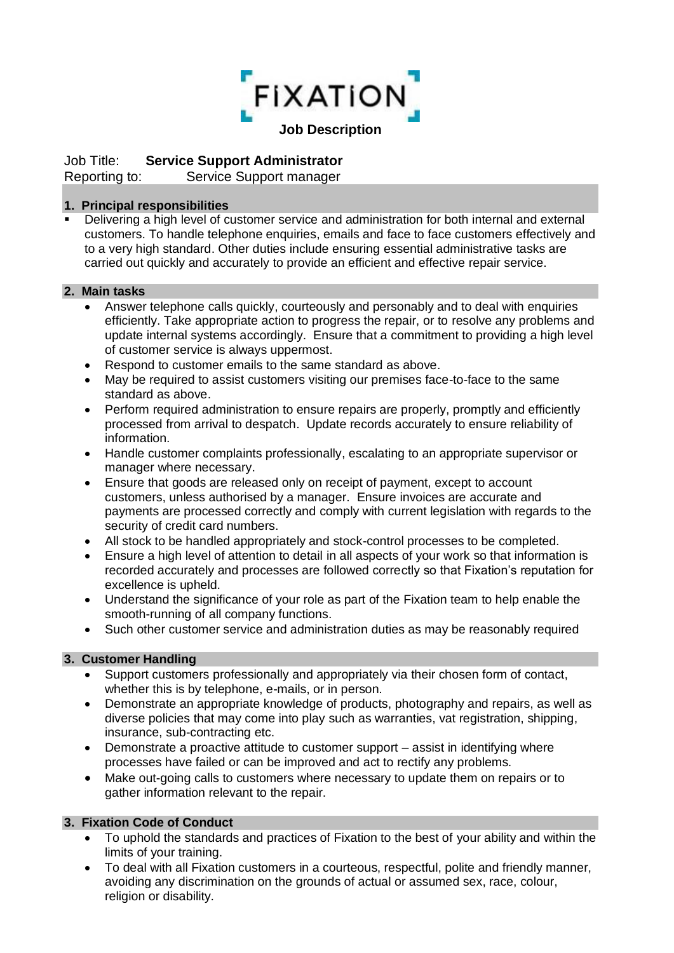

# Job Title: **Service Support Administrator**

Reporting to: Service Support manager

## **1. Principal responsibilities**

■ Delivering a high level of customer service and administration for both internal and external customers. To handle telephone enquiries, emails and face to face customers effectively and to a very high standard. Other duties include ensuring essential administrative tasks are carried out quickly and accurately to provide an efficient and effective repair service.

### **2. Main tasks**

- Answer telephone calls quickly, courteously and personably and to deal with enquiries efficiently. Take appropriate action to progress the repair, or to resolve any problems and update internal systems accordingly. Ensure that a commitment to providing a high level of customer service is always uppermost.
- Respond to customer emails to the same standard as above.
- May be required to assist customers visiting our premises face-to-face to the same standard as above.
- Perform required administration to ensure repairs are properly, promptly and efficiently processed from arrival to despatch. Update records accurately to ensure reliability of information.
- Handle customer complaints professionally, escalating to an appropriate supervisor or manager where necessary.
- Ensure that goods are released only on receipt of payment, except to account customers, unless authorised by a manager. Ensure invoices are accurate and payments are processed correctly and comply with current legislation with regards to the security of credit card numbers.
- All stock to be handled appropriately and stock-control processes to be completed.
- Ensure a high level of attention to detail in all aspects of your work so that information is recorded accurately and processes are followed correctly so that Fixation's reputation for excellence is upheld.
- Understand the significance of your role as part of the Fixation team to help enable the smooth-running of all company functions.
- Such other customer service and administration duties as may be reasonably required

### **3. Customer Handling**

- Support customers professionally and appropriately via their chosen form of contact, whether this is by telephone, e-mails, or in person.
- Demonstrate an appropriate knowledge of products, photography and repairs, as well as diverse policies that may come into play such as warranties, vat registration, shipping, insurance, sub-contracting etc.
- Demonstrate a proactive attitude to customer support assist in identifying where processes have failed or can be improved and act to rectify any problems.
- Make out-going calls to customers where necessary to update them on repairs or to gather information relevant to the repair.

### **3. Fixation Code of Conduct**

- To uphold the standards and practices of Fixation to the best of your ability and within the limits of your training.
- To deal with all Fixation customers in a courteous, respectful, polite and friendly manner, avoiding any discrimination on the grounds of actual or assumed sex, race, colour, religion or disability.